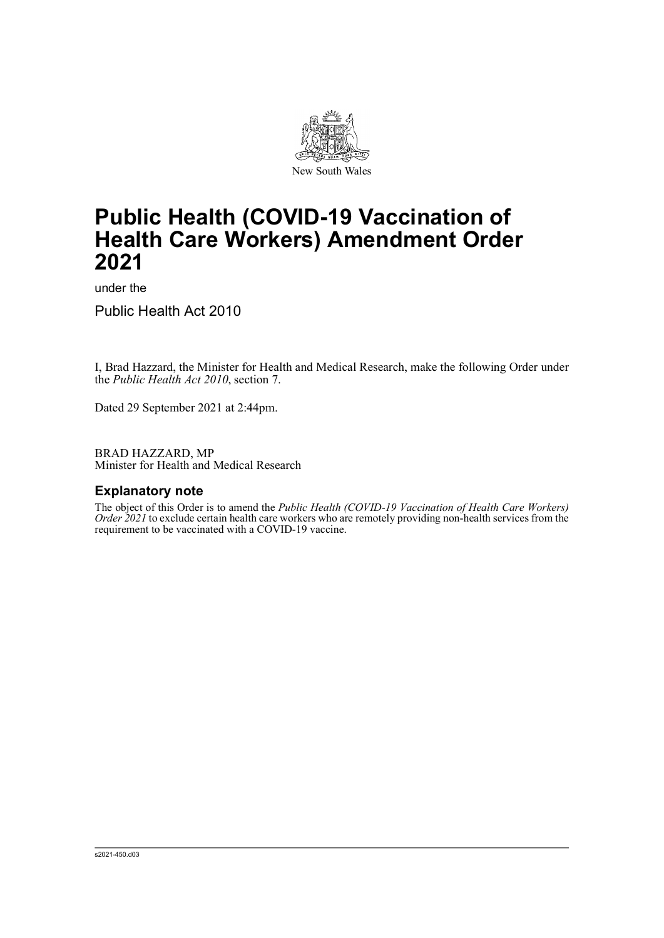

# **Public Health (COVID-19 Vaccination of Health Care Workers) Amendment Order 2021**

under the

Public Health Act 2010

I, Brad Hazzard, the Minister for Health and Medical Research, make the following Order under the *Public Health Act 2010*, section 7.

Dated 29 September 2021 at 2:44pm.

BRAD HAZZARD, MP Minister for Health and Medical Research

## **Explanatory note**

The object of this Order is to amend the *Public Health (COVID-19 Vaccination of Health Care Workers) Order* 2021 to exclude certain health care workers who are remotely providing non-health services from the requirement to be vaccinated with a COVID-19 vaccine.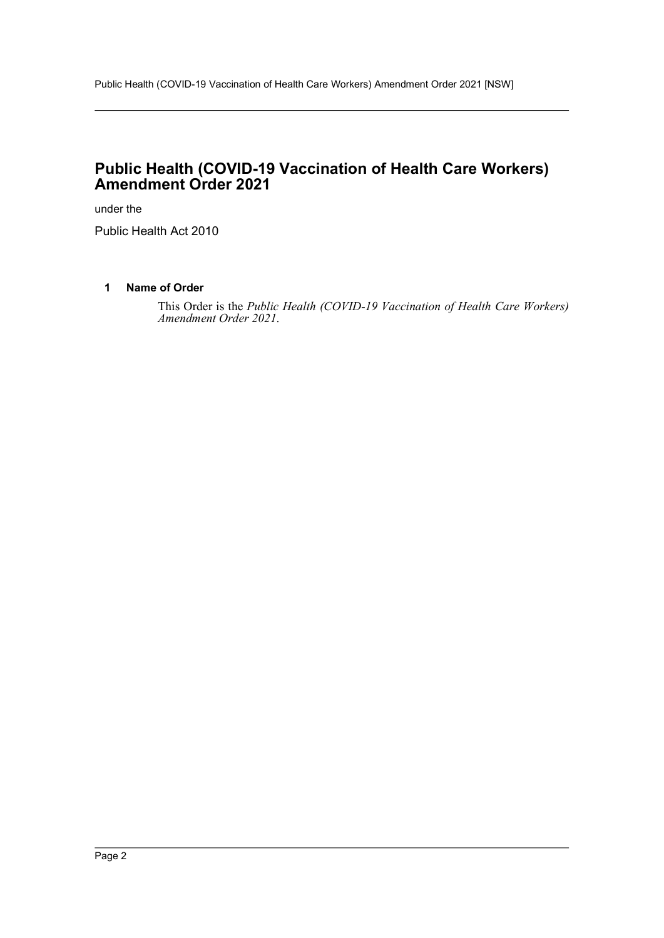## **Public Health (COVID-19 Vaccination of Health Care Workers) Amendment Order 2021**

under the

Public Health Act 2010

## **1 Name of Order**

This Order is the *Public Health (COVID-19 Vaccination of Health Care Workers) Amendment Order 2021*.